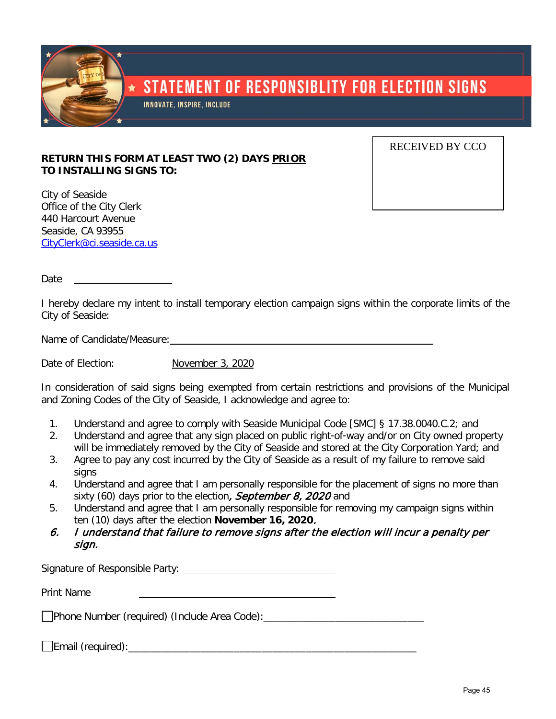

## **RETURN THIS FORM AT LEAST TWO (2) DAYS PRIOR TO INSTALLING SIGNS TO:**

City of Seaside Office of the City Clerk 440 Harcourt Avenue Seaside, CA 93955 [CityClerk@ci.seaside.ca.us](mailto:CityClerk@ci.seaside.ca.us) RECEIVED BY CCO

Date <u>\_\_\_\_\_\_</u>

I hereby declare my intent to install temporary election campaign signs within the corporate limits of the City of Seaside:

Name of Candidate/Measure:  $\blacksquare$ 

Date of Election: November 3, 2020

In consideration of said signs being exempted from certain restrictions and provisions of the Municipal and Zoning Codes of the City of Seaside, I acknowledge and agree to:

- 1. Understand and agree to comply with Seaside Municipal Code [SMC] § 17.38.0040.C.2; and
- 2. Understand and agree that any sign placed on public right-of-way and/or on City owned property will be immediately removed by the City of Seaside and stored at the City Corporation Yard; and
- 3. Agree to pay any cost incurred by the City of Seaside as a result of my failure to remove said signs
- 4. Understand and agree that I am personally responsible for the placement of signs no more than sixty (60) days prior to the election, September 8, 2020 and
- 5. Understand and agree that I am personally responsible for removing my campaign signs within ten (10) days after the election **November 16, 2020**.
- 6. I understand that failure to remove signs after the election will incur a penalty per sign.

Signature of Responsible Party:

Print Name

Phone Number (required) (Include Area Code):\_\_\_\_\_\_\_\_\_\_\_\_\_\_\_\_\_\_\_\_\_\_\_\_\_\_\_\_\_

Email (required):\_\_\_\_\_\_\_\_\_\_\_\_\_\_\_\_\_\_\_\_\_\_\_\_\_\_\_\_\_\_\_\_\_\_\_\_\_\_\_\_\_\_\_\_\_\_\_\_\_\_\_\_